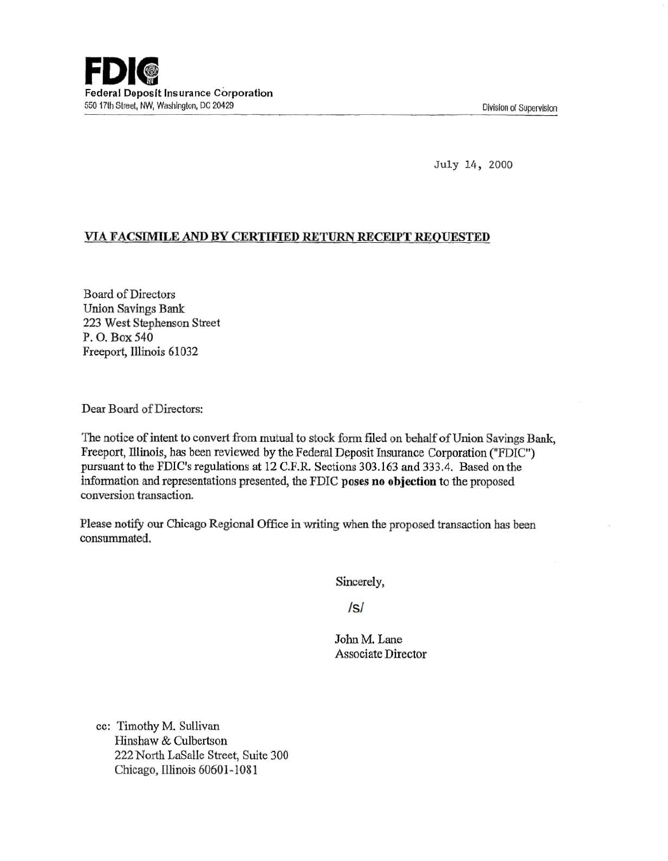July 14, 2000

## VIA FACSIMILE AND BY CERTIFIED RETURN RECEIPT REQUESTED

Board of Directors Union Savings Bank 223 West Stephenson Street P. 0. Box540 Freeport, Illinois 61032

Dear Board of Directors:

The notice of intent to convert from mutual to stock form filed on behalf of Union Savings Bank, Freeport, Illinois, has been reviewed by the Federal Deposit Insurance Corporation ("FDIC") pursuant to the FDIC's regulations at 12 C.F.R Sections 303.163 and 333.4. Based on the information and representations presented, the FDIC poses no objection to the proposed conversion transaction.

Please notify our Chicago Regional Office in writing when the proposed transaction bas been consummated.

Sincerely,

Is/

John M. Lane Associate Director

cc: Timothy M. Sullivan Hinshaw & Culbertson 222 North LaSalle Street, Suite 300 Chicago, Illinois 60601-1081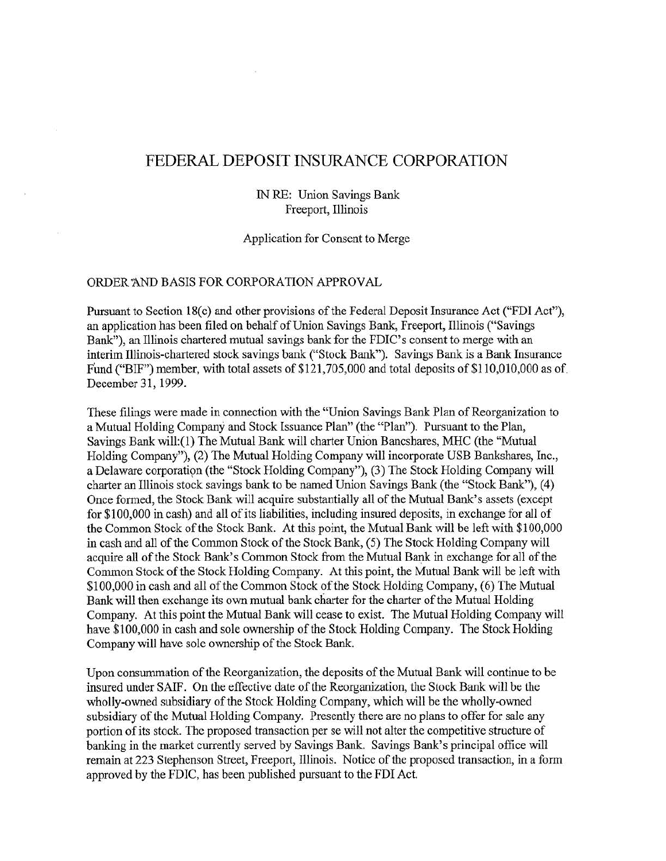## FEDERAL DEPOSIT INSURANCE CORPORATION

IN RE: Union Savings Bank Freeport, lllinois

Application for Consent to Merge

## ORDER 'AND BASIS FOR CORPORATION APPROVAL

Pursuant to Section 18(c) and other provisions of the Federal Deposit Insurance Act ("FDI Act"), an application has been filed on behalf of Union Savings Bank, Freeport, Illinois ("Savings Bank"), an Illinois chartered mutual savings bank for the FDIC's consent to merge with an interim lllinois-chartered stock savings bank ("Stock Bank"). Savings Bank is a Bank Insurance Fund ("BIF") member, with total assets of  $$121,705,000$  and total deposits of  $$110,010,000$  as of December 31, 1999.

These filings were made in connection with the "Union Savings Bank Plan of Reorganization to a Mutual Holding Company and Stock Issuance Plan" (the "Plan"). Pursuant to the Plan, Savings Bank will:(l) The Mutual Bank will charter Union Bancshares, MHC (the "Mutual Holding Company"), (2) The Mutual Holding Company will incorporate USB Bankshares, Inc., a Delaware corporation (the "Stock Holding Company"), (3) The Stock Holding Company will charter an Illinois stock savings bank to be named Union Savings Bank (the "Stock Bank"), (4) Once formed, the Stock Bank will acquire substantially all of the Mutual Bank's assets (except for \$100,000 in cash) and all of its liabilities, including insured deposits, in exchange for all of the Common Stock of the Stock Bank. At this point, the Mutual Bank will be left with \$100,000 in cash and all of the Common Stock of the Stock Bank, (5) The Stock Holding Company will acquire all of the Stock Bank's Common Stock from the Mutual Bank in exchange for all of the Common Stock of the Stock Holding Company. At this point, the Mutual Bank will be left with \$100,000 in cash and all of the Common Stock of the Stock Holding Company, (6) The Mutual Bank will then exchange its own mutual bank charter for the charter of the Mutual Holding Company. At this point the Mutual Bank will cease to exist. The Mutual Holding Company will have \$100,000 in cash and sole ownership of the Stock Holding Company. The Stock Holding Company will have sole ownership of the Stock Bank.

Upon consummation of the Reorganization, the deposits of the Mutual Bank will continue to be insured under SAIF. On the effective date of the Reorganization, the Stock Bank will be the wholly-owned subsidiary of the Stock Holding Company, which will be the wholly-owned subsidiary of the Mutual Holding Company. Presently there are no plans to offer for sale any portion of its stock. The proposed transaction per se will not alter the competitive structure of banking in the market currently served by Savings Bank. Savings Bank's principal office will remain at 223 Stephenson Street, Freeport, Illinois. Notice of the proposed transaction, in a form approved by the FDIC, has been published pursuant to the FDI Act.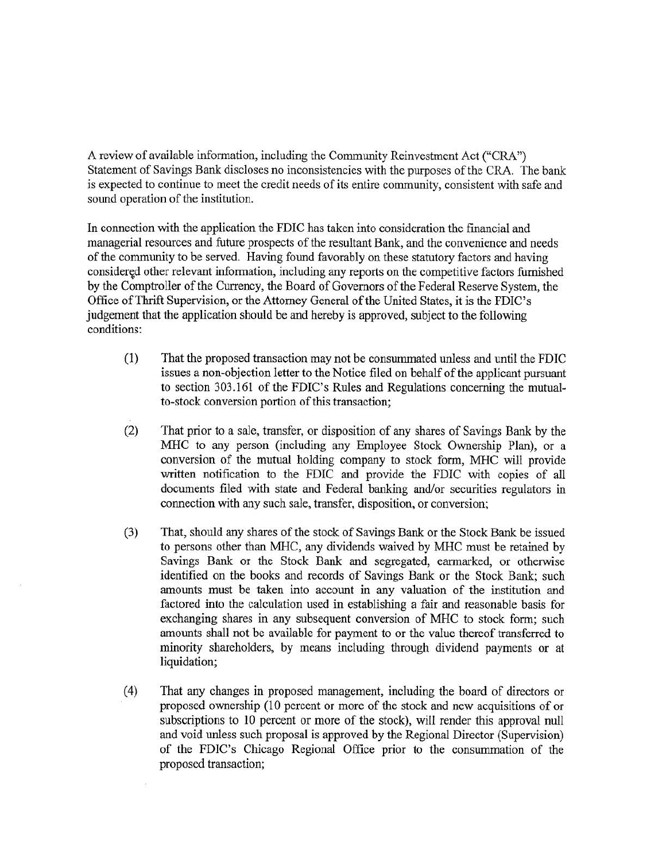A review of available information, including the Community Reinvestment Act ("CRA") Statement of Savings Bank discloses no inconsistencies with the purposes of the CRA. The bank is expected to continue to meet the credit needs of its entire community, consistent with safe and sound operation of the institution.

In connection with the application the FDIC has taken into consideration the fmancial and managerial resources and future prospects of the resultant Bank, and the convenience and needs of the conununity to be served. Having found favorably on these statutory factors and having considered other relevant information, including any reports on the competitive factors furnished by the Comptroller of the Currency, the Board of Governors of the Federal Reserve System, the Office ofThrift Supervision, or the Attorney General of the United States, it is the FDIC's judgement that the application should be and hereby is approved, subject to the following conditions:

- (1) That the proposed transaction may not be consummated unless and until the FDIC issues a non-objection letter to the Notice filed on behalf of the applicant pursuant to section 303.161 of the FDIC's Rules and Regulations concerning the mutualto-stock conversion portion of this transaction;
- (2) That prior to a sale, transfer, or disposition of any shares of Savings Bank by the MHC to any person (including any Employee Stock Ownership Plan), or a conversion of the mutual holding company to stock form, MHC will provide written notification to the FDIC and provide the FDIC with copies of all documents filed with state and Federal banking and/or securities regulators in connection with any such sale, transfer, disposition, or conversion;
- (3) That, should any shares of the stock of Savings Bank or the Stock Bank be issued to persons other than MHC, any dividends waived by MHC must be retained by Savings Bank or the Stock Bank and segregated, earmarked, or otherwise identified on the books and records of Savings Bank or the Stock Bank; such amounts must be taken into account in any valuation of the institution and factored into the calculation used in establishing a fair and reasonable basis for exchanging shares in any subsequent conversion of MHC to stock form; such amounts shall not be available for payment to or the value thereof transferred to minority shareholders, by means including through dividend payments or at liquidation;
- (4) That any changes in proposed management, including the board of directors or proposed ownership (10 percent or more of the stock and new acquisitions of or subscriptions to 10 percent or more of the stock), will render this approval null and void unless such proposal is approved by the Regional Director (Supervision) of the FDIC's Chicago Regional Office prior to the consummation of the proposed transaction;